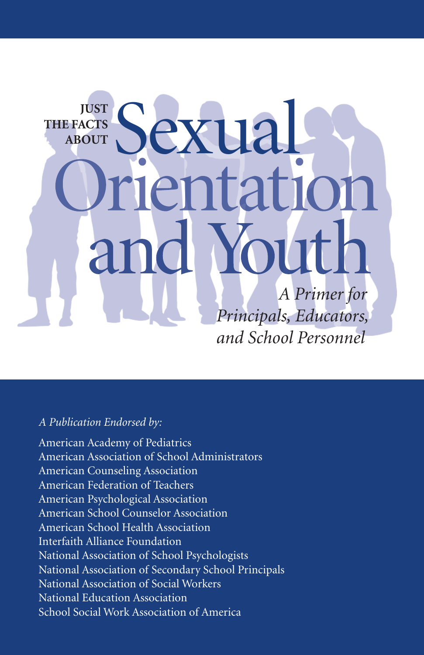

### *A Publication Endorsed by:*

American Academy of Pediatrics American Association of School Administrators American Counseling Association American Federation of Teachers American Psychological Association American School Counselor Association American School Health Association Interfaith Alliance Foundation National Association of School Psychologists National Association of Secondary School Principals National Association of Social Workers National Education Association School Social Work Association of America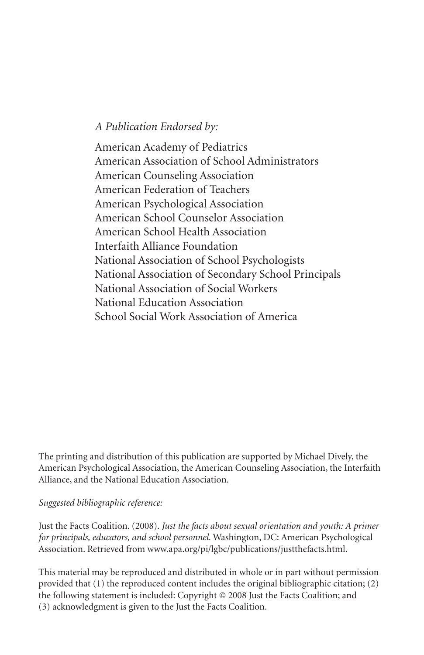#### *A Publication Endorsed by:*

American Academy of Pediatrics American Association of School Administrators American Counseling Association American Federation of Teachers American Psychological Association American School Counselor Association American School Health Association Interfaith Alliance Foundation National Association of School Psychologists National Association of Secondary School Principals National Association of Social Workers National Education Association School Social Work Association of America

The printing and distribution of this publication are supported by Michael Dively, the American Psychological Association, the American Counseling Association, the Interfaith Alliance, and the National Education Association.

#### *Suggested bibliographic reference:*

Just the Facts Coalition. (2008). *Just the facts about sexual orientation and youth: A primer for principals, educators, and school personnel.* Washington, DC: American Psychological Association. Retrieved from www.apa.org/pi/lgbc/publications/justthefacts.html.

This material may be reproduced and distributed in whole or in part without permission provided that (1) the reproduced content includes the original bibliographic citation; (2) the following statement is included: Copyright © 2008 Just the Facts Coalition; and (3) acknowledgment is given to the Just the Facts Coalition.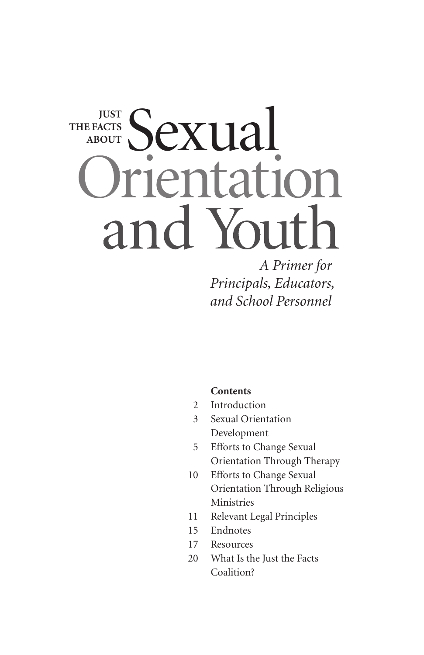# **THE FACTS** sexual<br>ientatio **ABOUT** and Yout

*A Primer for Principals, Educators, and School Personnel*

#### **Contents**

- 2 Introduction
- 3 Sexual Orientation Development
- 5 Efforts to Change Sexual Orientation Through Therapy
- 10 Efforts to Change Sexual Orientation Through Religious Ministries
- 11 Relevant Legal Principles
- 15 Endnotes
- 17 Resources
- 20 What Is the Just the Facts Coalition?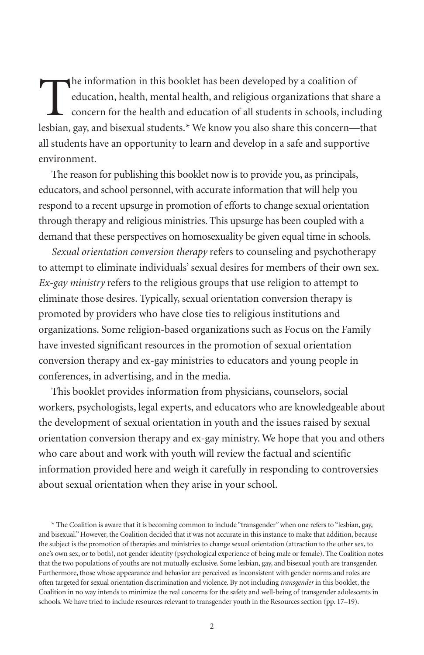The information in this booklet has been developed by <sup>a</sup> coalition of education, health, mental health, and religious organizations that share a concern for the health and education of all students in schools, including lesbian, gay, and bisexual students.\* We know you also share this concern—that all students have an opportunity to learn and develop in a safe and supportive environment.

The reason for publishing this booklet now is to provide you, as principals, educators, and school personnel,with accurate information that will help you respond to a recent upsurge in promotion of efforts to change sexual orientation through therapy and religious ministries. This upsurge has been coupled with a demand that these perspectives on homosexuality be given equal time in schools.

*Sexual orientation conversion therapy* refers to counseling and psychotherapy to attempt to eliminate individuals' sexual desires for members of their own sex. *Ex-gay ministry* refers to the religious groups that use religion to attempt to eliminate those desires. Typically, sexual orientation conversion therapy is promoted by providers who have close ties to religious institutions and organizations. Some religion-based organizations such as Focus on the Family have invested significant resources in the promotion of sexual orientation conversion therapy and ex-gay ministries to educators and young people in conferences, in advertising, and in the media.

This booklet provides information from physicians, counselors, social workers, psychologists, legal experts, and educators who are knowledgeable about the development of sexual orientation in youth and the issues raised by sexual orientation conversion therapy and ex-gay ministry. We hope that you and others who care about and work with youth will review the factual and scientific information provided here and weigh it carefully in responding to controversies about sexual orientation when they arise in your school.

<sup>\*</sup> The Coalition is aware that it is becoming common to include "transgender"when one refers to "lesbian, gay, and bisexual."However, the Coalition decided that it was not accurate in this instance to make that addition, because the subject is the promotion of therapies and ministries to change sexual orientation (attraction to the other sex, to one's own sex, or to both), not gender identity (psychological experience of being male or female). The Coalition notes that the two populations of youths are not mutually exclusive. Some lesbian, gay, and bisexual youth are transgender. Furthermore, those whose appearance and behavior are perceived as inconsistent with gender norms and roles are often targeted for sexual orientation discrimination and violence. By not including *transgender* in this booklet, the Coalition in no way intends to minimize the real concerns for the safety and well-being of transgender adolescents in schools. We have tried to include resources relevant to transgender youth in the Resources section (pp. 17–19).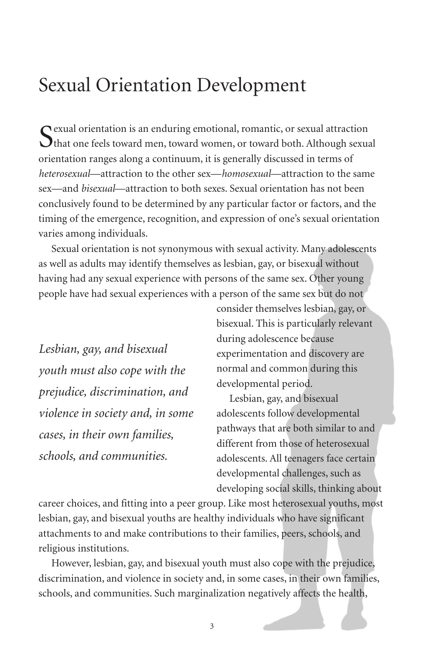### Sexual Orientation Development

Sexual orientation is an enduring emotional, romantic, or sexual attraction<br>Sthat one feels toward men, toward women, or toward both. Although sexual  $\bigcap$  exual orientation is an enduring emotional, romantic, or sexual attraction orientation ranges along a continuum, it is generally discussed in terms of *heterosexual*—attraction to the other sex—*homosexual*—attraction to the same sex—and *bisexual*—attraction to both sexes. Sexual orientation has not been conclusively found to be determined by any particular factor or factors, and the timing of the emergence, recognition, and expression of one's sexual orientation varies among individuals.

Sexual orientation is not synonymous with sexual activity. Many adolescents as well as adults may identify themselves as lesbian, gay, or bisexual without having had any sexual experience with persons of the same sex. Other young people have had sexual experiences with a person of the same sex but do not

*Lesbian, gay, and bisexual youth must also cope with the prejudice, discrimination, and violence in society and, in some cases, in their own families, schools, and communities.*

consider themselves lesbian, gay, or bisexual. This is particularly relevant during adolescence because experimentation and discovery are normal and common during this developmental period.

Lesbian, gay, and bisexual adolescents follow developmental pathways that are both similar to and different from those of heterosexual adolescents. All teenagers face certain developmental challenges, such as developing social skills, thinking about

career choices, and fitting into a peer group. Like most heterosexual youths, most lesbian, gay, and bisexual youths are healthy individuals who have significant attachments to and make contributions to their families, peers, schools, and religious institutions.

However, lesbian, gay, and bisexual youth must also cope with the prejudice, discrimination, and violence in society and, in some cases, in their own families, schools, and communities. Such marginalization negatively affects the health,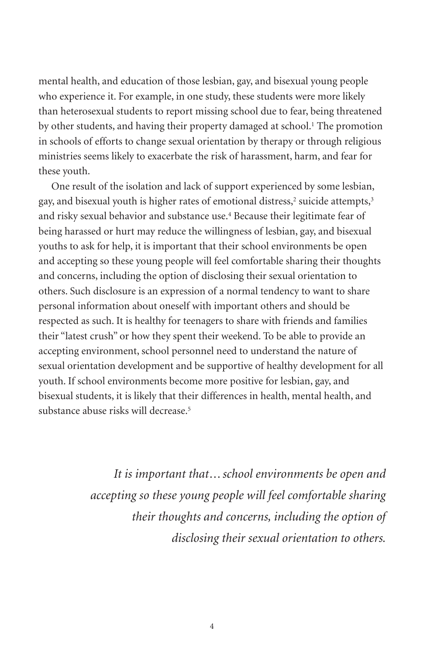mental health, and education of those lesbian, gay, and bisexual young people who experience it. For example, in one study, these students were more likely than heterosexual students to report missing school due to fear, being threatened by other students, and having their property damaged at school. <sup>1</sup> The promotion in schools of efforts to change sexual orientation by therapy or through religious ministries seems likely to exacerbate the risk of harassment, harm, and fear for these youth.

One result of the isolation and lack of support experienced by some lesbian, gay, and bisexual youth is higher rates of emotional distress, <sup>2</sup> suicide attempts, 3 and risky sexual behavior and substance use. <sup>4</sup> Because their legitimate fear of being harassed or hurt may reduce the willingness of lesbian, gay, and bisexual youths to ask for help, it is important that their school environments be open and accepting so these young people will feel comfortable sharing their thoughts and concerns, including the option of disclosing their sexual orientation to others. Such disclosure is an expression of a normal tendency to want to share personal information about oneself with important others and should be respected as such. It is healthy for teenagers to share with friends and families their "latest crush" or how they spent their weekend. To be able to provide an accepting environment, school personnel need to understand the nature of sexual orientation development and be supportive of healthy development for all youth. If school environments become more positive for lesbian, gay, and bisexual students, it is likely that their differences in health, mental health, and substance abuse risks will decrease. 5

> *It is important that...school environments be open and accepting so these young people will feel comfortable sharing their thoughts and concerns, including the option of disclosing their sexual orientation to others.*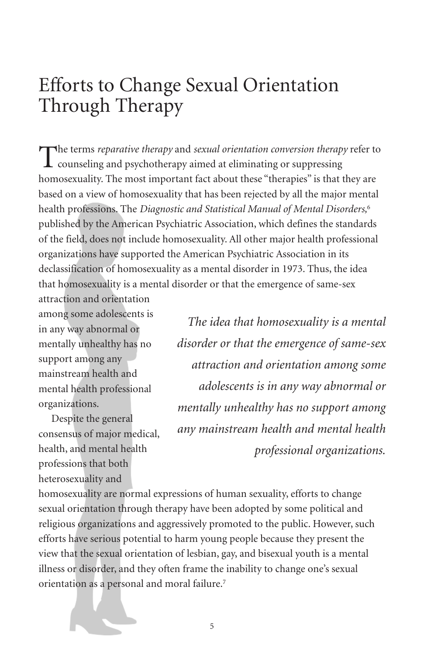## Efforts to Change Sexual Orientation Through Therapy

The terms *reparative therapy* and *sexual orientation conversion therapy* refer to counseling and psychotherapy aimed at eliminating or suppressing homosexuality. The most important fact about these "therapies" is that they are based on a view of homosexuality that has been rejected by all the major mental health professions. The *Diagnostic and Statistical Manual of Mental Disorders,* 6 published by the American Psychiatric Association, which defines the standards of the field, does not include homosexuality. All other major health professional organizations have supported the American Psychiatric Association in its declassification of homosexuality as a mental disorder in 1973. Thus, the idea that homosexuality is a mental disorder or that the emergence of same-sex

attraction and orientation among some adolescents is in any way abnormal or mentally unhealthy has no support among any mainstream health and mental health professional organizations.

Despite the general consensus of major medical, health, and mental health professions that both heterosexuality and

*The idea that homosexuality is a mental disorder or that the emergence of same-sex attraction and orientation among some adolescents is in any way abnormal or mentally unhealthy has no support among any mainstream health and mental health professional organizations.*

homosexuality are normal expressions of human sexuality, efforts to change sexual orientation through therapy have been adopted by some political and religious organizations and aggressively promoted to the public. However, such efforts have serious potential to harm young people because they present the view that the sexual orientation of lesbian, gay, and bisexual youth is a mental illness or disorder, and they often frame the inability to change one's sexual orientation as a personal and moral failure. 7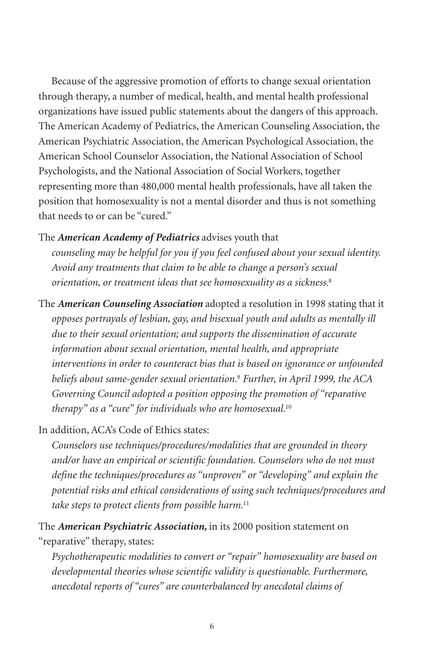Because of the aggressive promotion of efforts to change sexual orientation through therapy, a number of medical, health, and mental health professional organizations have issued public statements about the dangers of this approach. The American Academy of Pediatrics, the American Counseling Association, the American Psychiatric Association, the American Psychological Association, the American School Counselor Association, the National Association of School Psychologists, and the National Association of Social Workers, together representing more than 480,000 mental health professionals, have all taken the position that homosexuality is not a mental disorder and thus is not something that needs to or can be "cured."

#### The *American Academy of Pediatrics* advises youth that

*counseling may be helpful for you if you feel confused about your sexual identity. Avoid any treatments that claim to be able to change a person's sexual orientation, or treatment ideas that see homosexuality as a sickness.* 8

The *American Counseling Association* adopted a resolution in 1998 stating that it *opposes portrayals of lesbian, gay, and bisexual youth and adults as mentally ill due to their sexual orientation; and supports the dissemination of accurate information about sexual orientation, mental health, and appropriate interventions in order to counteract bias that is based on ignorance or unfounded beliefs about same-gender sexual orientation.* <sup>9</sup> *Further, in April 1999, the ACA Governing Council adopted a position opposing the promotion of "reparative therapy" as a "cure" for individuals who are homosexual.* 10

In addition, ACA's Code of Ethics states:

*Counselors use techniques/procedures/modalities that are grounded in theory and/or have an empirical or scientific foundation. Counselors who do not must define the techniques/procedures as "unproven" or "developing" and explain the potential risks and ethical considerations of using such techniques/procedures and take steps to protect clients from possible harm.* 11

The *American Psychiatric Association,* in its 2000 position statement on "reparative" therapy, states:

*Psychotherapeutic modalities to convert or "repair" homosexuality are based on developmental theories whose scientific validity is questionable. Furthermore, anecdotal reports of "cures" are counterbalanced by anecdotal claims of*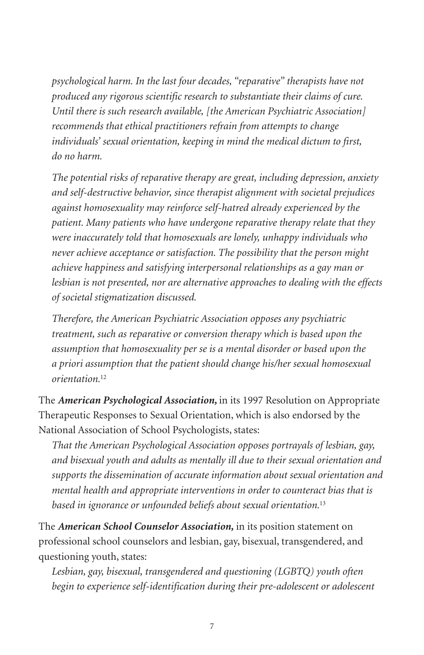*psychological harm. In the last four decades, "reparative" therapists have not produced any rigorous scientific research to substantiate their claims of cure. Until there is such research available, [the American Psychiatric Association] recommends that ethical practitioners refrain from attempts to change individuals' sexual orientation, keeping in mind the medical dictum to first, do no harm.*

*The potential risks of reparative therapy are great, including depression, anxiety and self-destructive behavior, since therapist alignment with societal prejudices against homosexuality may reinforce self-hatred already experienced by the patient. Many patients who have undergone reparative therapy relate that they were inaccurately told that homosexuals are lonely, unhappy individuals who never achieve acceptance or satisfaction. The possibility that the person might achieve happiness and satisfying interpersonal relationships as a gay man or lesbian is not presented, nor are alternative approaches to dealing with the effects of societal stigmatization discussed.*

*Therefore, the American Psychiatric Association opposes any psychiatric treatment, such as reparative or conversion therapy which is based upon the assumption that homosexuality per se is a mental disorder or based upon the a priori assumption that the patient should change his/her sexual homosexual orientation.* 12

The *American Psychological Association,* in its 1997 Resolution on Appropriate Therapeutic Responses to Sexual Orientation, which is also endorsed by the National Association of School Psychologists, states:

*That the American Psychological Association opposes portrayals of lesbian, gay, and bisexual youth and adults as mentally ill due to their sexual orientation and supports the dissemination of accurate information about sexual orientation and mental health and appropriate interventions in order to counteract bias that is based in ignorance or unfounded beliefs about sexual orientation.* 13

The *American School Counselor Association,* in its position statement on professional school counselors and lesbian, gay, bisexual, transgendered, and questioning youth, states:

*Lesbian, gay, bisexual, transgendered and questioning (LGBTQ) youth often begin to experience self-identification during their pre-adolescent or adolescent*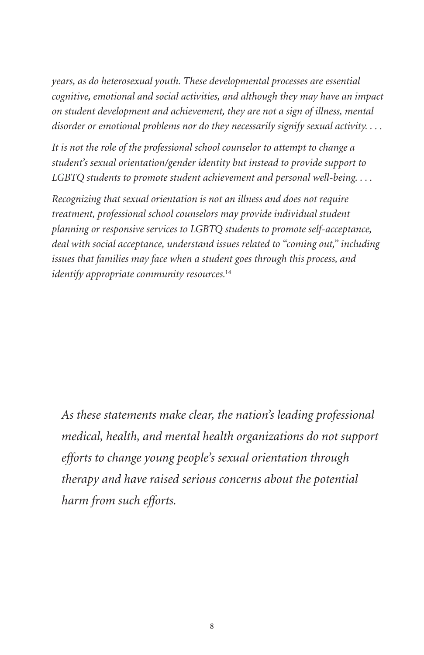*years, as do heterosexual youth. These developmental processes are essential cognitive, emotional and social activities, and although they may have an impact on student development and achievement, they are not a sign of illness, mental disorder or emotional problems nor do they necessarily signify sexual activity. . . .*

*It is not the role of the professional school counselor to attempt to change a student's sexual orientation/gender identity but instead to provide support to LGBTQ students to promote student achievement and personal well-being. . . .*

*Recognizing that sexual orientation is not an illness and does not require treatment, professional school counselors may provide individual student planning or responsive services to LGBTQ students to promote self-acceptance, deal with social acceptance, understand issues related to "coming out," including issues that families may face when a student goes through this process, and identify appropriate community resources.* 14

*As these statements make clear, the nation's leading professional medical, health, and mental health organizations do not support efforts to change young people's sexual orientation through therapy and have raised serious concerns about the potential harm from such efforts.*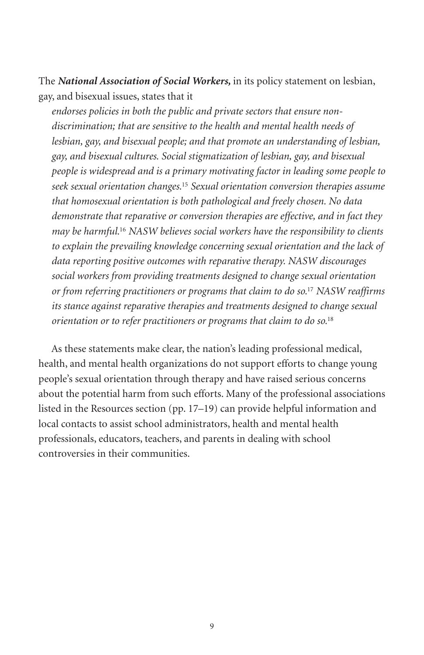The *National Association of Social Workers,* in its policy statement on lesbian, gay, and bisexual issues, states that it

*endorses policies in both the public and private sectors that ensure nondiscrimination; that are sensitive to the health and mental health needs of lesbian, gay, and bisexual people; and that promote an understanding of lesbian, gay, and bisexual cultures. Social stigmatization of lesbian, gay, and bisexual people is widespread and is a primary motivating factor in leading some people to seek sexual orientation changes.* <sup>15</sup> *Sexual orientation conversion therapies assume that homosexual orientation is both pathological and freely chosen. No data demonstrate that reparative or conversion therapies are effective, and in fact they may be harmful.* <sup>16</sup> *NASW believes social workers have the responsibility to clients to explain the prevailing knowledge concerning sexual orientation and the lack of data reporting positive outcomes with reparative therapy. NASW discourages social workers from providing treatments designed to change sexual orientation or from referring practitioners or programs that claim to do so.* <sup>17</sup> *NASW reaffirms its stance against reparative therapies and treatments designed to change sexual orientation or to refer practitioners or programs that claim to do so.* 18

As these statements make clear, the nation's leading professional medical, health, and mental health organizations do not support efforts to change young people's sexual orientation through therapy and have raised serious concerns about the potential harm from such efforts. Many of the professional associations listed in the Resources section (pp. 17–19) can provide helpful information and local contacts to assist school administrators, health and mental health professionals, educators, teachers, and parents in dealing with school controversies in their communities.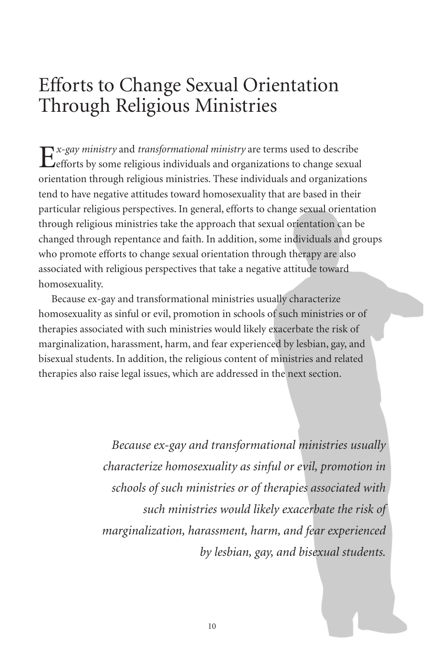## Efforts to Change Sexual Orientation Through Religious Ministries

E*x-gay ministry* and *transformational ministry* are terms used to describe efforts by some religious individuals and organizations to change sexual orientation through religious ministries. These individuals and organizations tend to have negative attitudes toward homosexuality that are based in their particular religious perspectives. In general, efforts to change sexual orientation through religious ministries take the approach that sexual orientation can be changed through repentance and faith. In addition, some individuals and groups who promote efforts to change sexual orientation through therapy are also associated with religious perspectives that take a negative attitude toward homosexuality.

Because ex-gay and transformational ministries usually characterize homosexuality as sinful or evil, promotion in schools of such ministries or of therapies associated with such ministries would likely exacerbate the risk of marginalization, harassment, harm, and fear experienced by lesbian, gay, and bisexual students. In addition, the religious content of ministries and related therapies also raise legal issues, which are addressed in the next section.

> *Because ex-gay and transformational ministries usually characterize homosexuality as sinful or evil, promotion in schools of such ministries or of therapies associated with such ministries would likely exacerbate the risk of marginalization, harassment, harm, and fear experienced by lesbian, gay, and bisexual students.*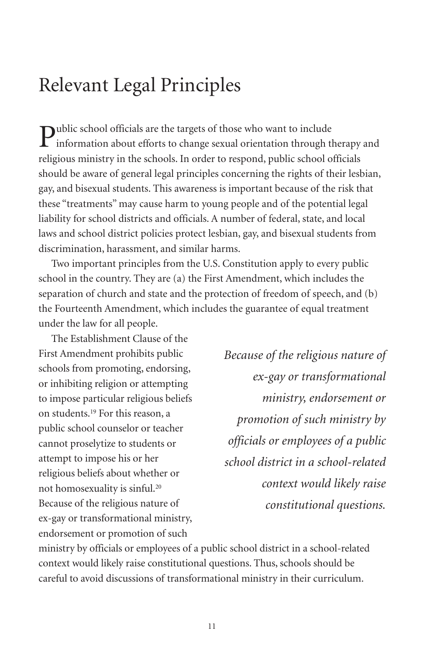### Relevant Legal Principles

 $\sum$ ublic school officials are the targets of those who want to include  $\Gamma$  information about efforts to change sexual orientation through therapy and religious ministry in the schools. In order to respond, public school officials should be aware of general legal principles concerning the rights of their lesbian, gay, and bisexual students. This awareness is important because of the risk that these "treatments" may cause harm to young people and of the potential legal liability for school districts and officials. A number of federal, state, and local laws and school district policies protect lesbian, gay, and bisexual students from discrimination, harassment, and similar harms.

Two important principles from the U.S. Constitution apply to every public school in the country. They are (a) the First Amendment, which includes the separation of church and state and the protection of freedom of speech, and (b) the Fourteenth Amendment, which includes the guarantee of equal treatment under the law for all people.

The Establishment Clause of the First Amendment prohibits public schools from promoting, endorsing, or inhibiting religion or attempting to impose particular religious beliefs on students. <sup>19</sup> For this reason, a public school counselor or teacher cannot proselytize to students or attempt to impose his or her religious beliefs about whether or not homosexuality is sinful. 20 Because of the religious nature of ex-gay or transformational ministry, endorsement or promotion of such

*Because of the religious nature of ex-gay or transformational ministry, endorsement or promotion of such ministry by officials or employees of a public school district in a school-related context would likely raise constitutional questions.*

ministry by officials or employees of a public school district in a school-related context would likely raise constitutional questions. Thus, schools should be careful to avoid discussions of transformational ministry in their curriculum.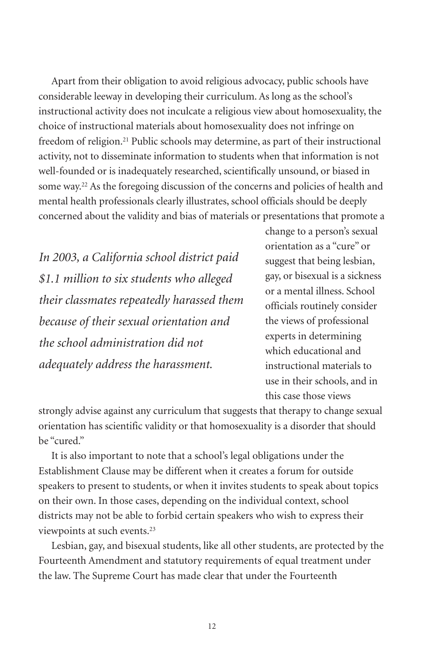Apart from their obligation to avoid religious advocacy, public schools have considerable leeway in developing their curriculum. As long as the school's instructional activity does not inculcate a religious view about homosexuality, the choice of instructional materials about homosexuality does not infringe on freedom of religion. <sup>21</sup> Public schools may determine, as part of their instructional activity, not to disseminate information to students when that information is not well-founded or is inadequately researched, scientifically unsound, or biased in some way. <sup>22</sup> As the foregoing discussion of the concerns and policies of health and mental health professionals clearly illustrates, school officials should be deeply concerned about the validity and bias of materials or presentations that promote a

*In 2003, a California school district paid \$1.1 million to six students who alleged their classmates repeatedly harassed them because of their sexual orientation and the school administration did not adequately address the harassment.*

change to a person's sexual orientation as a "cure" or suggest that being lesbian, gay, or bisexual is a sickness or a mental illness. School officials routinely consider the views of professional experts in determining which educational and instructional materials to use in their schools, and in this case those views

strongly advise against any curriculum that suggests that therapy to change sexual orientation has scientific validity or that homosexuality is a disorder that should be "cured"

It is also important to note that a school's legal obligations under the Establishment Clause may be different when it creates a forum for outside speakers to present to students, or when it invites students to speak about topics on their own. In those cases, depending on the individual context, school districts may not be able to forbid certain speakers who wish to express their viewpoints at such events. 23

Lesbian, gay, and bisexual students, like all other students, are protected by the Fourteenth Amendment and statutory requirements of equal treatment under the law. The Supreme Court has made clear that under the Fourteenth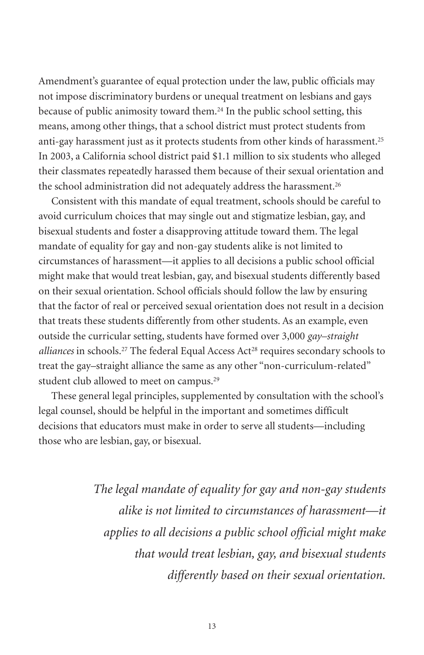Amendment's guarantee of equal protection under the law, public officials may not impose discriminatory burdens or unequal treatment on lesbians and gays because of public animosity toward them. <sup>24</sup> In the public school setting, this means, among other things, that a school district must protect students from anti-gay harassment just as it protects students from other kinds of harassment. 25 In 2003, a California school district paid \$1.1 million to six students who alleged their classmates repeatedly harassed them because of their sexual orientation and the school administration did not adequately address the harassment. 26

Consistent with this mandate of equal treatment, schools should be careful to avoid curriculum choices that may single out and stigmatize lesbian, gay, and bisexual students and foster a disapproving attitude toward them. The legal mandate of equality for gay and non-gay students alike is not limited to circumstances of harassment—it applies to all decisions a public school official might make that would treat lesbian, gay, and bisexual students differently based on their sexual orientation. School officials should follow the law by ensuring that the factor of real or perceived sexual orientation does not result in a decision that treats these students differently from other students. As an example, even outside the curricular setting, students have formed over 3,000 *gay–straight* alliances in schools.<sup>27</sup> The federal Equal Access Act<sup>28</sup> requires secondary schools to treat the gay–straight alliance the same as any other "non-curriculum-related" student club allowed to meet on campus.<sup>29</sup>

These general legal principles, supplemented by consultation with the school's legal counsel, should be helpful in the important and sometimes difficult decisions that educators must make in order to serve all students—including those who are lesbian, gay, or bisexual.

> *The legal mandate of equality for gay and non-gay students alike is not limited to circumstances of harassment—it applies to all decisions a public school official might make that would treat lesbian, gay, and bisexual students differently based on their sexual orientation.*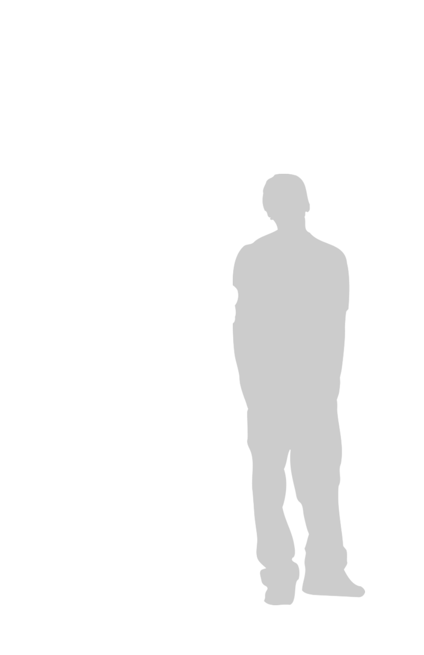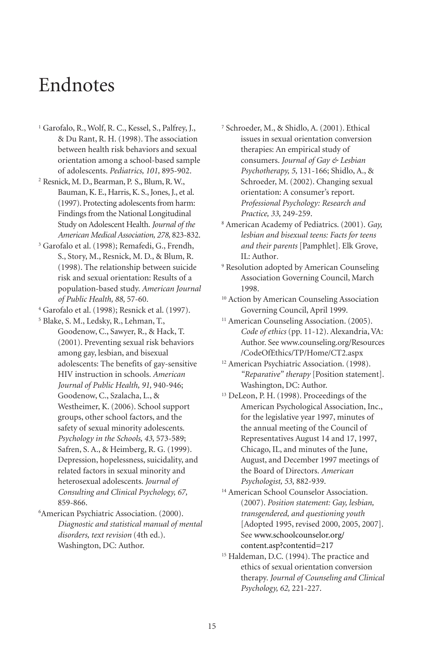### Endnotes

- <sup>1</sup> Garofalo, R., Wolf, R. C., Kessel, S., Palfrey, J., & Du Rant, R. H. (1998). The association between health risk behaviors and sexual orientation among a school-based sample of adolescents. *Pediatrics, 101,* 895-902.
- <sup>2</sup> Resnick, M. D., Bearman, P. S., Blum, R.W., Bauman, K. E., Harris, K. S., Jones, J., et al. (1997). Protecting adolescents from harm: Findings from the National Longitudinal Study on Adolescent Health. *Journal of the American Medical Association, 278,* 823-832.
- <sup>3</sup> Garofalo et al. (1998); Remafedi, G., Frendh, S., Story, M., Resnick, M. D., & Blum, R. (1998). The relationship between suicide risk and sexual orientation: Results of a population-based study. *American Journal of Public Health, 88,* 57-60.
- <sup>4</sup> Garofalo et al. (1998); Resnick et al. (1997).
- <sup>5</sup> Blake, S. M., Ledsky, R., Lehman, T., Goodenow, C., Sawyer, R., & Hack, T. (2001). Preventing sexual risk behaviors among gay, lesbian, and bisexual adolescents: The benefits of gay-sensitive HIV instruction in schools. *American Journal of Public Health, 91,* 940-946; Goodenow, C., Szalacha, L., & Westheimer, K. (2006). School support groups, other school factors, and the safety of sexual minority adolescents. *Psychology in the Schools, 43,* 573-589; Safren, S. A., & Heimberg, R. G. (1999). Depression, hopelessness, suicidality, and related factors in sexual minority and heterosexual adolescents. *Journal of Consulting and Clinical Psychology, 67,* 859-866.
- 6 American Psychiatric Association. (2000). *Diagnostic and statistical manual of mental disorders, text revision* (4th ed.). Washington, DC: Author.
- <sup>7</sup> Schroeder, M., & Shidlo, A. (2001). Ethical issues in sexual orientation conversion therapies: An empirical study of consumers. *Journal of Gay & Lesbian Psychotherapy, 5,* 131-166; Shidlo, A., & Schroeder, M. (2002). Changing sexual orientation: A consumer's report. *Professional Psychology: Research and Practice, 33,* 249-259.
- <sup>8</sup> American Academy of Pediatrics. (2001). *Gay, lesbian and bisexual teens: Facts for teens and their parents* [Pamphlet]. Elk Grove, IL: Author*.*
- <sup>9</sup> Resolution adopted by American Counseling Association Governing Council, March 1998.
- <sup>10</sup> Action by American Counseling Association Governing Council, April 1999.
- <sup>11</sup> American Counseling Association. (2005). Code of *ethics* (pp. 11-12). Alexandria, VA: Author. See www.counseling.org/Resources /CodeOfEthics/TP/Home/CT2.aspx
- <sup>12</sup> American Psychiatric Association. (1998). *"Reparative" therapy* [Position statement]. Washington, DC: Author.
- <sup>13</sup> DeLeon, P. H. (1998). Proceedings of the American Psychological Association, Inc., for the legislative year 1997, minutes of the annual meeting of the Council of Representatives August 14 and 17, 1997, Chicago, IL, and minutes of the June, August, and December 1997 meetings of the Board of Directors. *American Psychologist, 53,* 882-939.
- <sup>14</sup> American School Counselor Association. (2007). *Position statement: Gay, lesbian, transgendered, and questioning youth* [Adopted 1995, revised 2000, 2005, 2007]. See www.schoolcounselor.org/ content.asp?contentid=217
- <sup>15</sup> Haldeman, D.C. (1994). The practice and ethics of sexual orientation conversion therapy. *Journal of Counseling and Clinical Psychology, 62,* 221-227.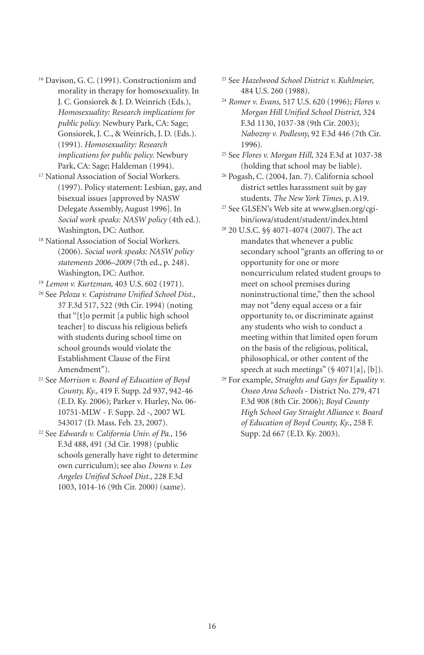- <sup>16</sup> Davison, G. C. (1991). Constructionism and morality in therapy for homosexuality. In J. C. Gonsiorek & J. D. Weinrich (Eds.), *Homosexuality: Research implications for public policy.* Newbury Park, CA: Sage; Gonsiorek, J. C., & Weinrich, J. D. (Eds.). (1991). *Homosexuality: Research implications for public policy.* Newbury Park, CA: Sage; Haldeman (1994).
- <sup>17</sup> National Association of Social Workers. (1997). Policy statement: Lesbian, gay, and bisexual issues [approved by NASW Delegate Assembly, August 1996]. In *Social work speaks: NASW policy* (4th ed.). Washington, DC: Author.
- <sup>18</sup> National Association of Social Workers. (2006). *Social work speaks: NASW policy statements 2006–2009* (7th ed., p. 248). Washington, DC: Author.
- <sup>19</sup> *Lemon v. Kurtzman,* 403 U.S. 602 (1971).

<sup>20</sup> See *Peloza v. Capistrano Unified School Dist.,* 37 F.3d 517, 522 (9th Cir. 1994) (noting that "[t]o permit [a public high school teacher] to discuss his religious beliefs with students during school time on school grounds would violate the Establishment Clause of the First Amendment").

- <sup>21</sup> See *Morrison v. Board of Education of Boyd County, Ky.,* 419 F. Supp. 2d 937, 942-46 (E.D. Ky. 2006); Parker v. Hurley, No. 06- 10751-MLW - F. Supp. 2d -, 2007 WL 543017 (D. Mass. Feb. 23, 2007).
- <sup>22</sup> See *Edwards v. California Univ. of Pa.,* 156 F.3d 488, 491 (3d Cir. 1998) (public schools generally have right to determine own curriculum); see also *Downs v. Los Angeles Unified School Dist.,* 228 F.3d 1003, 1014-16 (9th Cir. 2000) (same).
- <sup>23</sup> See *Hazelwood School District v. Kuhlmeier,* 484 U.S. 260 (1988).
- <sup>24</sup> *Romer v. Evans,* 517 U.S. 620 (1996); *Flores v. Morgan Hill Unified School District,* 324 F.3d 1130, 1037-38 (9th Cir. 2003); *Nabozny v. Podlesny,* 92 F.3d 446 (7th Cir. 1996).
- <sup>25</sup> See *Flores v. Morgan Hill,* 324 F.3d at 1037-38 (holding that school may be liable).
- <sup>26</sup> Pogash, C. (2004, Jan. 7). California school district settles harassment suit by gay students. *The New York Times,* p. A19.
- <sup>27</sup> See GLSEN's Web site at www.glsen.org/cgibin/iowa/student/student/index.html
- <sup>28</sup> 20 U.S.C. §§ 4071-4074 (2007). The act mandates that whenever a public secondary school "grants an offering to or opportunity for one or more noncurriculum related student groups to meet on school premises during noninstructional time," then the school may not "deny equal access or a fair opportunity to, or discriminate against any students who wish to conduct a meeting within that limited open forum on the basis of the religious, political, philosophical, or other content of the speech at such meetings" (§ 4071[a], [b]).
- <sup>29</sup> For example, *Straights and Gays for Equality v. Osseo Area Schools* - District No. 279, 471 F.3d 908 (8th Cir. 2006); *Boyd County High School Gay Straight Alliance v. Board of Education of Boyd County, Ky.,* 258 F. Supp. 2d 667 (E.D. Ky. 2003).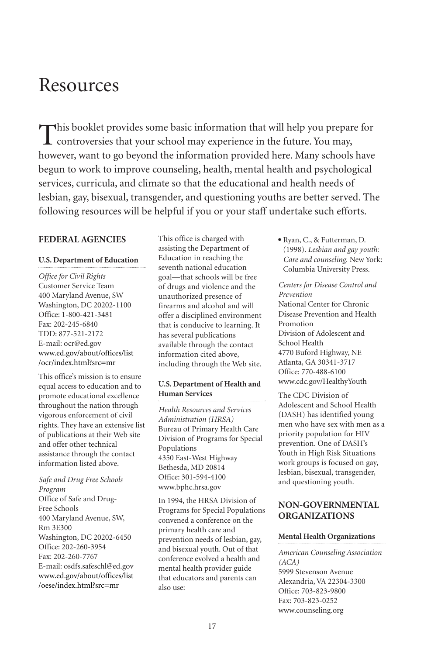### Resources

This booklet provides some basic information that will help you prepare for  $\perp$  controversies that your school may experience in the future. You may, however, want to go beyond the information provided here. Many schools have begun to work to improve counseling, health, mental health and psychological services, curricula, and climate so that the educational and health needs of lesbian, gay, bisexual, transgender, and questioning youths are better served. The following resources will be helpful if you or your staff undertake such efforts.

#### **FEDERAL AGENCIES**

#### **U.S. Department of Education**

*Office for Civil Rights* Customer Service Team 400 Maryland Avenue, SW Washington, DC 20202-1100 Office: 1-800-421-3481 Fax: 202-245-6840 TDD: 877-521-2172 E-mail: ocr@ed.gov www.ed.gov/about/offices/list /ocr/index.html?src=mr

This office's mission is to ensure equal access to education and to promote educational excellence throughout the nation through vigorous enforcement of civil rights. They have an extensive list of publications at their Web site and offer other technical assistance through the contact information listed above.

*Safe and Drug Free Schools Program* Office of Safe and Drug-Free Schools 400 Maryland Avenue, SW, Rm 3E300 Washington, DC 20202-6450 Office: 202-260-3954 Fax: 202-260-7767 E-mail: osdfs.safeschl@ed.gov www.ed.gov/about/offices/list /oese/index.html?src=mr

This office is charged with assisting the Department of Education in reaching the seventh national education goal—that schools will be free of drugs and violence and the unauthorized presence of firearms and alcohol and will offer a disciplined environment that is conducive to learning. It has several publications available through the contact information cited above, including through the Web site.

#### **U.S. Department of Health and Human Services**

*Health Resources and Services Administration (HRSA)* Bureau of Primary Health Care Division of Programs for Special Populations 4350 East-West Highway Bethesda, MD 20814 Office: 301-594-4100 www.bphc.hrsa.gov

In 1994, the HRSA Division of Programs for Special Populations convened a conference on the primary health care and prevention needs of lesbian, gay, and bisexual youth. Out of that conference evolved a health and mental health provider guide that educators and parents can also use:

7 Ryan, C., & Futterman, D. (1998). *Lesbian and gay youth: Care and counseling.* New York: Columbia University Press.

*Centers for Disease Control and Prevention* National Center for Chronic Disease Prevention and Health Promotion Division of Adolescent and School Health 4770 Buford Highway, NE Atlanta, GA 30341-3717 Office: 770-488-6100 www.cdc.gov/HealthyYouth

The CDC Division of Adolescent and School Health (DASH) has identified young men who have sex with men as a priority population for HIV prevention. One of DASH's Youth in High Risk Situations work groups is focused on gay, lesbian, bisexual, transgender, and questioning youth.

#### **NON-GOVERNMENTAL ORGANIZATIONS**

#### **Mental Health Organizations**

*American Counseling Association (ACA)* 5999 Stevenson Avenue Alexandria,VA 22304-3300 Office: 703-823-9800 Fax: 703-823-0252 www.counseling.org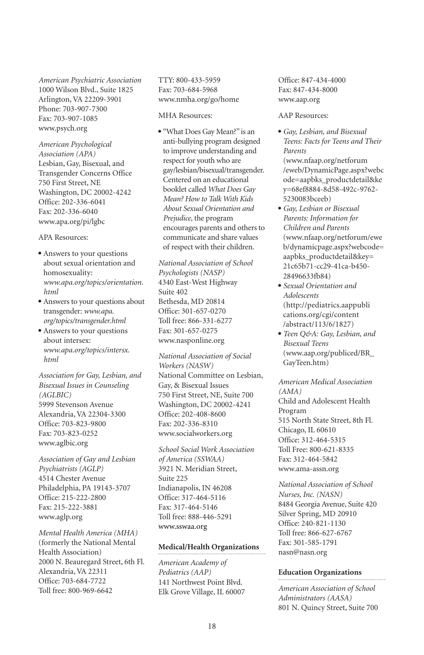*American Psychiatric Association* 1000 Wilson Blvd., Suite 1825 Arlington,VA 22209-3901 Phone: 703-907-7300 Fax: 703-907-1085 www.psych.org

*American Psychological Association (APA)* Lesbian, Gay, Bisexual, and Transgender Concerns Office 750 First Street, NE Washington, DC 20002-4242 Office: 202-336-6041 Fax: 202-336-6040 www.apa.org/pi/lgbc

#### APA Resources:

- Answers to your questions about sexual orientation and homosexuality: *www.apa.org/topics/orientation. html*
- 7 Answers to your questions about transgender: *www.apa. org/topics/transgender.html*
- Answers to your questions about intersex: *www.apa.org/topics/intersx. html*

*Association for Gay, Lesbian, and Bisexual Issues in Counseling (AGLBIC)* 5999 Stevenson Avenue Alexandria,VA 22304-3300 Office: 703-823-9800 Fax: 703-823-0252 www.aglbic.org

*Association of Gay and Lesbian Psychiatrists (AGLP)* 4514 Chester Avenue Philadelphia, PA 19143-3707 Office: 215-222-2800 Fax: 215-222-3881 www.aglp.org

*Mental Health America (MHA)* (formerly the National Mental Health Association) 2000 N. Beauregard Street, 6th Fl. Alexandria,VA 22311 Office: 703-684-7722 Toll free: 800-969-6642

TTY: 800-433-5959 Fax: 703-684-5968 www.nmha.org/go/home

#### MHA Resources:

7 "What Does Gay Mean?" is an anti-bullying program designed to improve understanding and respect for youth who are gay/lesbian/bisexual/transgender. Centered on an educational booklet called *What Does Gay Mean? How to Talk With Kids About Sexual Orientation and Prejudice,* the program encourages parents and others to communicate and share values of respect with their children.

*National Association of School Psychologists (NASP)* 4340 East-West Highway Suite 402 Bethesda, MD 20814 Office: 301-657-0270 Toll free: 866-331-6277 Fax: 301-657-0275 www.nasponline.org

*National Association of Social Workers (NASW)* National Committee on Lesbian, Gay, & Bisexual Issues 750 First Street, NE, Suite 700 Washington, DC 20002-4241 Office: 202-408-8600 Fax: 202-336-8310 www.socialworkers.org

*School Social Work Association of America (SSWAA)* 3921 N. Meridian Street, Suite 225 Indianapolis, IN 46208 Office: 317-464-5116 Fax: 317-464-5146 Toll free: 888-446-5291 www.sswaa.org

#### **Medical/Health Organizations**

*American Academy of Pediatrics (AAP)* 141 Northwest Point Blvd. Elk Grove Village, IL 60007 Office: 847-434-4000 Fax: 847-434-8000 www.aap.org

#### AAP Resources:

- 7 *Gay, Lesbian, and Bisexual Teens: Facts for Teens and Their Parents* (www.nfaap.org/netforum /eweb/DynamicPage.aspx?webc ode=aapbks\_productdetail&ke y=68ef8884-8d58-492c-9762- 5230083bceeb)
- 7 *Gay, Lesbian or Bisexual Parents: Information for Children and Parents* (www.nfaap.org/netforum/ewe b/dynamicpage.aspx?webcode= aapbks\_productdetail&key= 21c65b71-cc29-41ca-b450- 28496633fb84)
- 7 *Sexual Orientation and Adolescents* (http://pediatrics.aappubli cations.org/cgi/content /abstract/113/6/1827)
- 7 *Teen Q&A: Gay, Lesbian, and Bisexual Teens* (www.aap.org/publiced/BR\_ GayTeen.htm)

*American Medical Association (AMA)* Child and Adolescent Health Program 515 North State Street, 8th Fl. Chicago, IL 60610 Office: 312-464-5315 Toll Free: 800-621-8335 Fax: 312-464-5842 www.ama-assn.org

*National Association of School Nurses, Inc. (NASN)* 8484 Georgia Avenue, Suite 420 Silver Spring, MD 20910 Office: 240-821-1130 Toll free: 866-627-6767 Fax: 301-585-1791 nasn@nasn.org

#### **Education Organizations**

*American Association of School Administrators (AASA)* 801 N. Quincy Street, Suite 700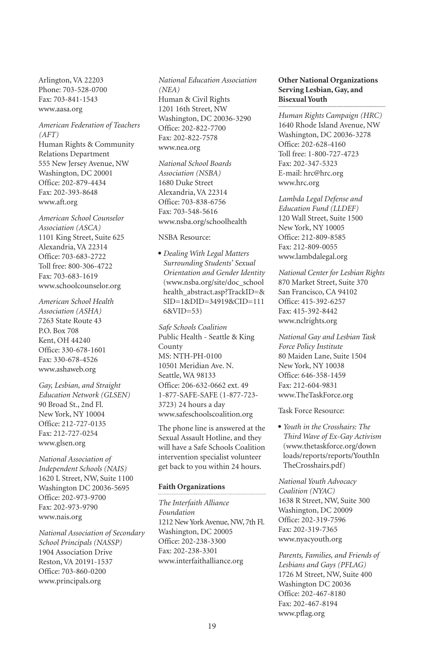Arlington,VA 22203 Phone: 703-528-0700 Fax: 703-841-1543 www.aasa.org

*American Federation of Teachers (AFT)* Human Rights & Community Relations Department 555 New Jersey Avenue, NW Washington, DC 20001 Office: 202-879-4434 Fax: 202-393-8648 www.aft.org

*American School Counselor Association (ASCA)* 1101 King Street, Suite 625 Alexandria,VA 22314 Office: 703-683-2722 Toll free: 800-306-4722 Fax: 703-683-1619 www.schoolcounselor.org

*American School Health Association (ASHA)* 7263 State Route 43 P.O. Box 708 Kent, OH 44240 Office: 330-678-1601 Fax: 330-678-4526 www.ashaweb.org

*Gay, Lesbian, and Straight Education Network (GLSEN)* 90 Broad St., 2nd Fl. New York, NY 10004 Office: 212-727-0135 Fax: 212-727-0254 www.glsen.org

*National Association of Independent Schools (NAIS)* 1620 L Street, NW, Suite 1100 Washington DC 20036-5695 Office: 202-973-9700 Fax: 202-973-9790 www.nais.org

*National Association of Secondary School Principals (NASSP)* 1904 Association Drive Reston,VA 20191-1537 Office: 703-860-0200 www.principals.org

*National Education Association (NEA)* Human & Civil Rights 1201 16th Street, NW Washington, DC 20036-3290 Office: 202-822-7700 Fax: 202-822-7578 www.nea.org

*National School Boards Association (NSBA)* 1680 Duke Street Alexandria,VA 22314 Office: 703-838-6756 Fax: 703-548-5616 www.nsba.org/schoolhealth

NSBA Resource:

7 *Dealing With Legal Matters Surrounding Students' Sexual Orientation and Gender Identity* (www.nsba.org/site/doc\_school health\_abstract.asp?TrackID=& SID=1&DID=34919&CID=111 6&VID=53)

*Safe Schools Coalition* Public Health - Seattle & King County MS: NTH-PH-0100 10501 Meridian Ave. N. Seattle, WA 98133 Office: 206-632-0662 ext. 49 1-877-SAFE-SAFE (1-877-723- 3723) 24 hours a day www.safeschoolscoalition.org

The phone line is answered at the Sexual Assault Hotline, and they will have a Safe Schools Coalition intervention specialist volunteer get back to you within 24 hours.

#### **Faith Organizations**

*The Interfaith Alliance Foundation* 1212 New York Avenue, NW, 7th Fl. Washington, DC 20005 Office: 202-238-3300 Fax: 202-238-3301 www.interfaithalliance.org

#### **Other National Organizations Serving Lesbian, Gay, and Bisexual Youth**

*Human Rights Campaign (HRC)* 1640 Rhode Island Avenue, NW Washington, DC 20036-3278 Office: 202-628-4160 Toll free: 1-800-727-4723 Fax: 202-347-5323 E-mail: hrc@hrc.org www.hrc.org

*Lambda Legal Defense and Education Fund (LLDEF)* 120 Wall Street, Suite 1500 New York, NY 10005 Office: 212-809-8585 Fax: 212-809-0055 www.lambdalegal.org

*National Center for Lesbian Rights* 870 Market Street, Suite 370 San Francisco, CA 94102 Office: 415-392-6257 Fax: 415-392-8442 www.nclrights.org

*National Gay and Lesbian Task Force Policy Institute* 80 Maiden Lane, Suite 1504 New York, NY 10038 Office: 646-358-1459 Fax: 212-604-9831 www.TheTaskForce.org

Task Force Resource:

7 *Youth in the Crosshairs: The Third Wave of Ex-Gay Activism* (www.thetaskforce.org/down loads/reports/reports/YouthIn TheCrosshairs.pdf)

*National Youth Advocacy Coalition (NYAC)* 1638 R Street, NW, Suite 300 Washington, DC 20009 Office: 202-319-7596 Fax: 202-319-7365 www.nyacyouth.org

*Parents, Families, and Friends of Lesbians and Gays (PFLAG)* 1726 M Street, NW, Suite 400 Washington DC 20036 Office: 202-467-8180 Fax: 202-467-8194 www.pflag.org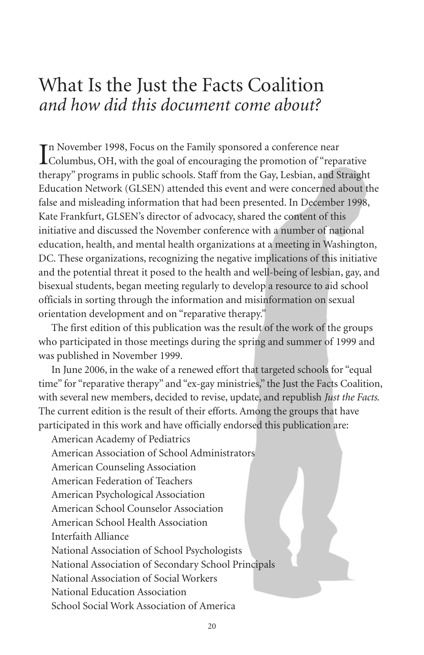### What Is the Just the Facts Coalition *and how did this document come about?*

In November 1998, Focus on the Family sponsored a conference near<br>Columbus, OH, with the goal of encouraging the promotion of "repa **L** Columbus, OH, with the goal of encouraging the promotion of "reparative" therapy" programs in public schools. Staff from the Gay, Lesbian, and Straight Education Network (GLSEN) attended this event and were concerned about the false and misleading information that had been presented. In December 1998, Kate Frankfurt, GLSEN's director of advocacy, shared the content of this initiative and discussed the November conference with a number of national education, health, and mental health organizations at a meeting in Washington, DC. These organizations, recognizing the negative implications of this initiative and the potential threat it posed to the health and well-being of lesbian, gay, and bisexual students, began meeting regularly to develop a resource to aid school officials in sorting through the information and misinformation on sexual orientation development and on "reparative therapy."

The first edition of this publication was the result of the work of the groups who participated in those meetings during the spring and summer of 1999 and was published in November 1999.

In June 2006, in the wake of a renewed effort that targeted schools for "equal time" for "reparative therapy" and "ex-gay ministries," the Just the Facts Coalition, with several new members, decided to revise, update, and republish *Just the Facts*. The current edition is the result of their efforts. Among the groups that have participated in this work and have officially endorsed this publication are:

American Academy of Pediatrics American Association of School Administrators American Counseling Association American Federation of Teachers American Psychological Association American School Counselor Association American School Health Association Interfaith Alliance National Association of School Psychologists National Association of Secondary School Principals National Association of Social Workers National Education Association School Social Work Association of America